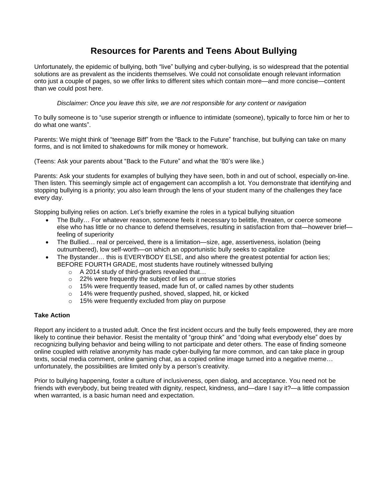# **Resources for Parents and Teens About Bullying**

Unfortunately, the epidemic of bullying, both "live" bullying and cyber-bullying, is so widespread that the potential solutions are as prevalent as the incidents themselves. We could not consolidate enough relevant information onto just a couple of pages, so we offer links to different sites which contain more—and more concise—content than we could post here.

*Disclaimer: Once you leave this site, we are not responsible for any content or navigation* 

To bully someone is to "use superior strength or influence to intimidate (someone), typically to force him or her to do what one wants".

Parents: We might think of "teenage Biff" from the "Back to the Future" franchise, but bullying can take on many forms, and is not limited to shakedowns for milk money or homework.

(Teens: Ask your parents about "Back to the Future" and what the '80's were like.)

Parents: Ask your students for examples of bullying they have seen, both in and out of school, especially on-line. Then listen. This seemingly simple act of engagement can accomplish a lot. You demonstrate that identifying and stopping bullying is a priority; you also learn through the lens of your student many of the challenges they face every day.

Stopping bullying relies on action. Let's briefly examine the roles in a typical bullying situation

- The Bully… For whatever reason, someone feels it necessary to belittle, threaten, or coerce someone else who has little or no chance to defend themselves, resulting in satisfaction from that—however brief feeling of superiority
- The Bullied… real or perceived, there is a limitation—size, age, assertiveness, isolation (being outnumbered), low self-worth—on which an opportunistic bully seeks to capitalize
- The Bystander… this is EVERYBODY ELSE, and also where the greatest potential for action lies; BEFORE FOURTH GRADE, most students have routinely witnessed bullying
	- o A 2014 study of third-graders revealed that…
	- o 22% were frequently the subject of lies or untrue stories
	- o 15% were frequently teased, made fun of, or called names by other students
	- o 14% were frequently pushed, shoved, slapped, hit, or kicked
	- o 15% were frequently excluded from play on purpose

#### **Take Action**

Report any incident to a trusted adult. Once the first incident occurs and the bully feels empowered, they are more likely to continue their behavior. Resist the mentality of "group think" and "doing what everybody else" does by recognizing bullying behavior and being willing to not participate and deter others. The ease of finding someone online coupled with relative anonymity has made cyber-bullying far more common, and can take place in group texts, social media comment, online gaming chat, as a copied online image turned into a negative meme… unfortunately, the possibilities are limited only by a person's creativity.

Prior to bullying happening, foster a culture of inclusiveness, open dialog, and acceptance. You need not be friends with everybody, but being treated with dignity, respect, kindness, and—dare I say it?—a little compassion when warranted, is a basic human need and expectation.